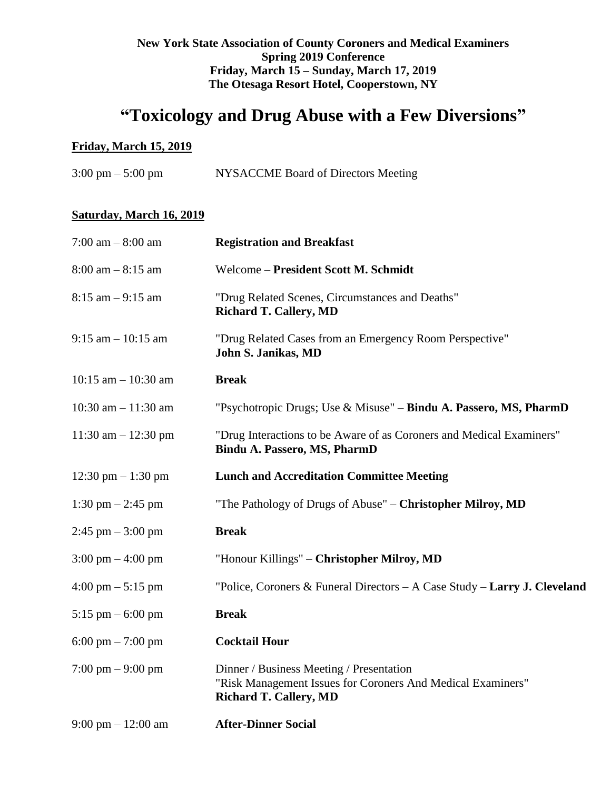### **New York State Association of County Coroners and Medical Examiners Spring 2019 Conference Friday, March 15 – Sunday, March 17, 2019 The Otesaga Resort Hotel, Cooperstown, NY**

# **"Toxicology and Drug Abuse with a Few Diversions"**

## **Friday, March 15, 2019**

| NYSACCME Board of Directors Meeting<br>$3:00 \text{ pm} - 5:00 \text{ pm}$ |
|----------------------------------------------------------------------------|
|----------------------------------------------------------------------------|

## **Saturday, March 16, 2019**

| 7:00 am $-8:00$ am                   | <b>Registration and Breakfast</b>                                                                                                        |
|--------------------------------------|------------------------------------------------------------------------------------------------------------------------------------------|
| $8:00$ am $-8:15$ am                 | Welcome - President Scott M. Schmidt                                                                                                     |
| $8:15$ am $-9:15$ am                 | "Drug Related Scenes, Circumstances and Deaths"<br><b>Richard T. Callery, MD</b>                                                         |
| $9:15$ am $-10:15$ am                | "Drug Related Cases from an Emergency Room Perspective"<br>John S. Janikas, MD                                                           |
| 10:15 am $-$ 10:30 am                | <b>Break</b>                                                                                                                             |
| 10:30 am $- 11:30$ am                | "Psychotropic Drugs; Use & Misuse" - Bindu A. Passero, MS, PharmD                                                                        |
| 11:30 am $- 12:30$ pm                | "Drug Interactions to be Aware of as Coroners and Medical Examiners"<br>Bindu A. Passero, MS, PharmD                                     |
| 12:30 pm $-1:30$ pm                  | <b>Lunch and Accreditation Committee Meeting</b>                                                                                         |
| 1:30 pm $-$ 2:45 pm                  | "The Pathology of Drugs of Abuse" - Christopher Milroy, MD                                                                               |
| $2:45$ pm $-3:00$ pm                 | <b>Break</b>                                                                                                                             |
| $3:00 \text{ pm} - 4:00 \text{ pm}$  | "Honour Killings" – Christopher Milroy, MD                                                                                               |
| $4:00 \text{ pm} - 5:15 \text{ pm}$  | "Police, Coroners & Funeral Directors $-A$ Case Study $-Larry$ J. Cleveland                                                              |
| 5:15 pm $-$ 6:00 pm                  | <b>Break</b>                                                                                                                             |
| 6:00 pm $- 7:00$ pm                  | <b>Cocktail Hour</b>                                                                                                                     |
| $7:00 \text{ pm} - 9:00 \text{ pm}$  | Dinner / Business Meeting / Presentation<br>"Risk Management Issues for Coroners And Medical Examiners"<br><b>Richard T. Callery, MD</b> |
| $9:00 \text{ pm} - 12:00 \text{ am}$ | <b>After-Dinner Social</b>                                                                                                               |